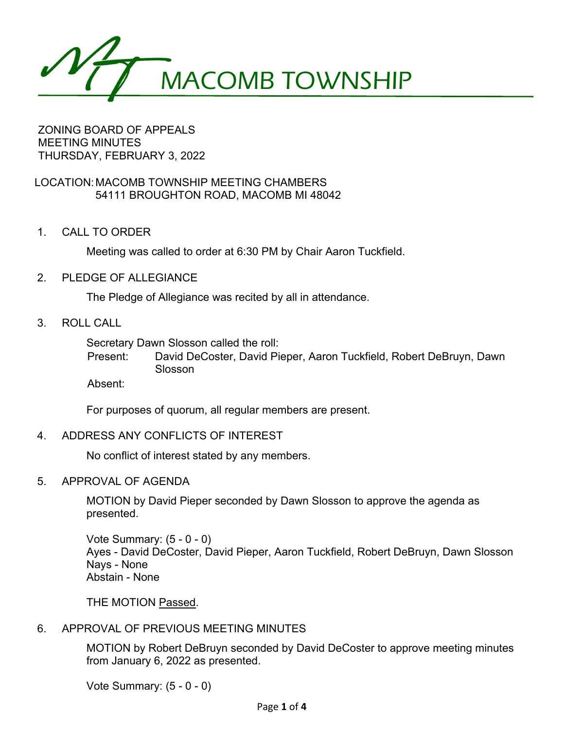

#### ZONING BOARD OF APPEALS MEETING MINUTES THURSDAY, FEBRUARY 3, 2022

## LOCATION:MACOMB TOWNSHIP MEETING CHAMBERS 54111 BROUGHTON ROAD, MACOMB MI 48042

1. CALL TO ORDER

Meeting was called to order at 6:30 PM by Chair Aaron Tuckfield.

2. PLEDGE OF ALLEGIANCE

The Pledge of Allegiance was recited by all in attendance.

3. ROLL CALL

Secretary Dawn Slosson called the roll:

Present: David DeCoster, David Pieper, Aaron Tuckfield, Robert DeBruyn, Dawn Slosson

Absent:

For purposes of quorum, all regular members are present.

4. ADDRESS ANY CONFLICTS OF INTEREST

No conflict of interest stated by any members.

5. APPROVAL OF AGENDA

MOTION by David Pieper seconded by Dawn Slosson to approve the agenda as presented.

Vote Summary: (5 - 0 - 0) Ayes - David DeCoster, David Pieper, Aaron Tuckfield, Robert DeBruyn, Dawn Slosson Nays - None Abstain - None

THE MOTION Passed.

## 6. APPROVAL OF PREVIOUS MEETING MINUTES

MOTION by Robert DeBruyn seconded by David DeCoster to approve meeting minutes from January 6, 2022 as presented.

Vote Summary: (5 - 0 - 0)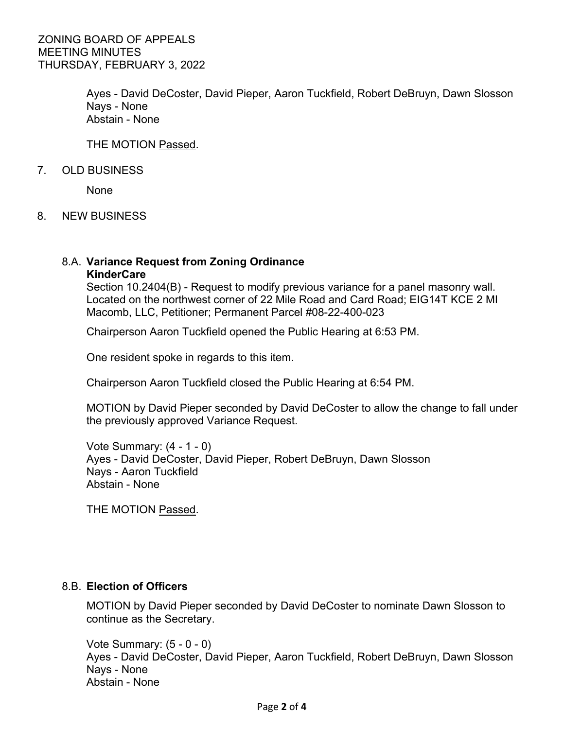Ayes - David DeCoster, David Pieper, Aaron Tuckfield, Robert DeBruyn, Dawn Slosson Nays - None Abstain - None

THE MOTION Passed.

7. OLD BUSINESS

None

8. NEW BUSINESS

# 8.A. **Variance Request from Zoning Ordinance**

**KinderCare**

Section 10.2404(B) - Request to modify previous variance for a panel masonry wall. Located on the northwest corner of 22 Mile Road and Card Road; EIG14T KCE 2 MI Macomb, LLC, Petitioner; Permanent Parcel #08-22-400-023

Chairperson Aaron Tuckfield opened the Public Hearing at 6:53 PM.

One resident spoke in regards to this item.

Chairperson Aaron Tuckfield closed the Public Hearing at 6:54 PM.

MOTION by David Pieper seconded by David DeCoster to allow the change to fall under the previously approved Variance Request.

Vote Summary: (4 - 1 - 0) Ayes - David DeCoster, David Pieper, Robert DeBruyn, Dawn Slosson Nays - Aaron Tuckfield Abstain - None

THE MOTION Passed.

### 8.B. **Election of Officers**

MOTION by David Pieper seconded by David DeCoster to nominate Dawn Slosson to continue as the Secretary.

Vote Summary: (5 - 0 - 0) Ayes - David DeCoster, David Pieper, Aaron Tuckfield, Robert DeBruyn, Dawn Slosson Nays - None Abstain - None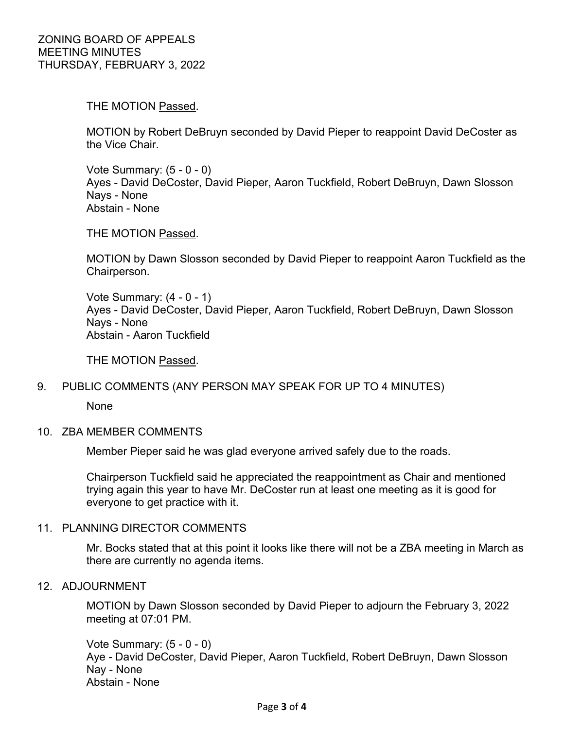THE MOTION Passed.

MOTION by Robert DeBruyn seconded by David Pieper to reappoint David DeCoster as the Vice Chair.

Vote Summary: (5 - 0 - 0) Ayes - David DeCoster, David Pieper, Aaron Tuckfield, Robert DeBruyn, Dawn Slosson Nays - None Abstain - None

THE MOTION Passed.

MOTION by Dawn Slosson seconded by David Pieper to reappoint Aaron Tuckfield as the Chairperson.

Vote Summary: (4 - 0 - 1) Ayes - David DeCoster, David Pieper, Aaron Tuckfield, Robert DeBruyn, Dawn Slosson Nays - None Abstain - Aaron Tuckfield

THE MOTION Passed.

### 9. PUBLIC COMMENTS (ANY PERSON MAY SPEAK FOR UP TO 4 MINUTES)

None

### 10. ZBA MEMBER COMMENTS

Member Pieper said he was glad everyone arrived safely due to the roads.

Chairperson Tuckfield said he appreciated the reappointment as Chair and mentioned trying again this year to have Mr. DeCoster run at least one meeting as it is good for everyone to get practice with it.

#### 11. PLANNING DIRECTOR COMMENTS

Mr. Bocks stated that at this point it looks like there will not be a ZBA meeting in March as there are currently no agenda items.

#### 12. ADJOURNMENT

MOTION by Dawn Slosson seconded by David Pieper to adjourn the February 3, 2022 meeting at 07:01 PM.

Vote Summary: (5 - 0 - 0) Aye - David DeCoster, David Pieper, Aaron Tuckfield, Robert DeBruyn, Dawn Slosson Nay - None Abstain - None